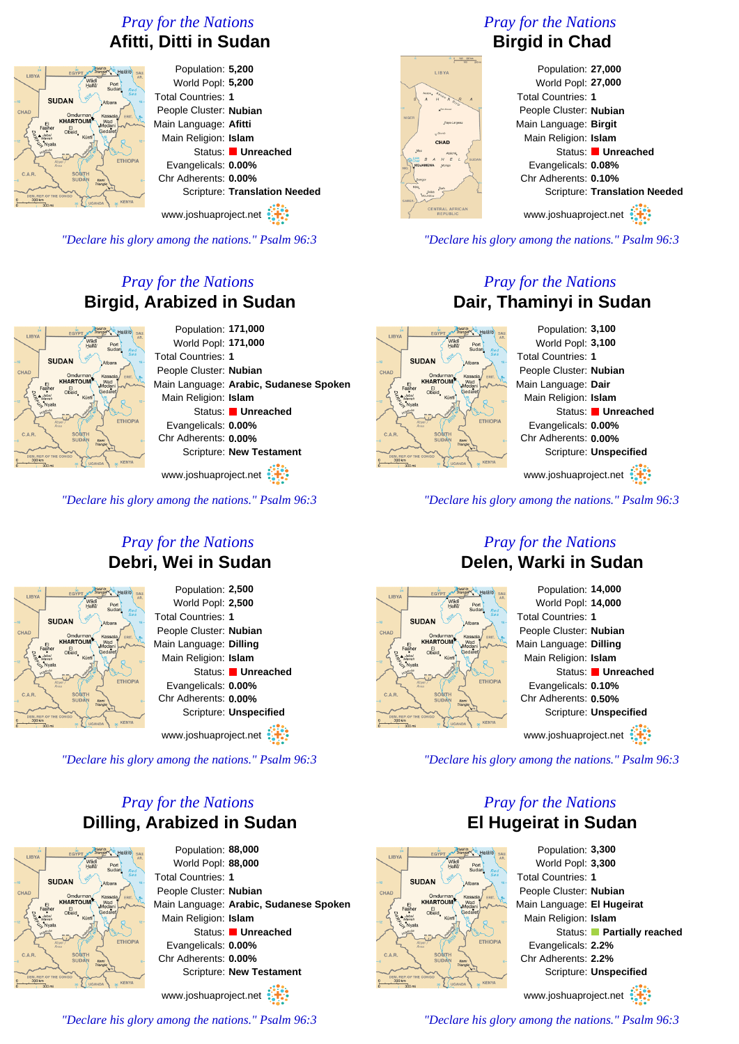## *Pray for the Nations* **Afitti, Ditti in Sudan**



Population: **5,200** World Popl: **5,200** Total Countries: **1** People Cluster: **Nubian** Main Language: **Afitti** Main Religion: **Islam** Status: **Unreached** Evangelicals: **0.00%** Chr Adherents: **0.00%** Scripture: **Translation Needed**

www.joshuaproject.net

*"Declare his glory among the nations." Psalm 96:3*

## *Pray for the Nations* **Birgid, Arabized in Sudan**



Population: **171,000** World Popl: **171,000** Total Countries: **1** People Cluster: **Nubian** Main Language: **Arabic, Sudanese Spoken** Main Religion: **Islam** Status: **Unreached** Evangelicals: **0.00%** Chr Adherents: **0.00%** Scripture: **New Testament**

www.joshuaproject.net

*"Declare his glory among the nations." Psalm 96:3*

### *Pray for the Nations* **Debri, Wei in Sudan**



Population: **2,500** World Popl: **2,500** Total Countries: **1** People Cluster: **Nubian** Main Language: **Dilling** Main Religion: **Islam** Status: **Unreached** Evangelicals: **0.00%** Chr Adherents: **0.00%** Scripture: **Unspecified**

www.joshuaproject.net

*"Declare his glory among the nations." Psalm 96:3*

### *Pray for the Nations* **Dilling, Arabized in Sudan**

**SUDAN** 

Population: **88,000** World Popl: **88,000** Total Countries: **1** People Cluster: **Nubian** Main Language: **Arabic, Sudanese Spoken** Main Religion: **Islam** Status: **Unreached** Evangelicals: **0.00%** Chr Adherents: **0.00%** Scripture: **New Testament**

www.joshuaproject.net

*"Declare his glory among the nations." Psalm 96:3*

### *Pray for the Nations* **Birgid in Chad**



#### Population: **27,000** World Popl: **27,000** Total Countries: **1** People Cluster: **Nubian** Main Language: **Birgit** Main Religion: **Islam** Status: **Unreached** Evangelicals: **0.08%** Chr Adherents: **0.10%** Scripture: **Translation Needed** www.joshuaproject.net

*"Declare his glory among the nations." Psalm 96:3*

### *Pray for the Nations* **Dair, Thaminyi in Sudan**



*"Declare his glory among the nations." Psalm 96:3*

#### *Pray for the Nations* **Delen, Warki in Sudan**



*"Declare his glory among the nations." Psalm 96:3*

#### *Pray for the Nations* **El Hugeirat in Sudan**



Population: **3,300** World Popl: **3,300** Total Countries: **1** People Cluster: **Nubian** Main Language: **El Hugeirat** Main Religion: **Islam** Status: **Partially reached** Evangelicals: **2.2%** Chr Adherents: **2.2%** Scripture: **Unspecified** www.joshuaproject.net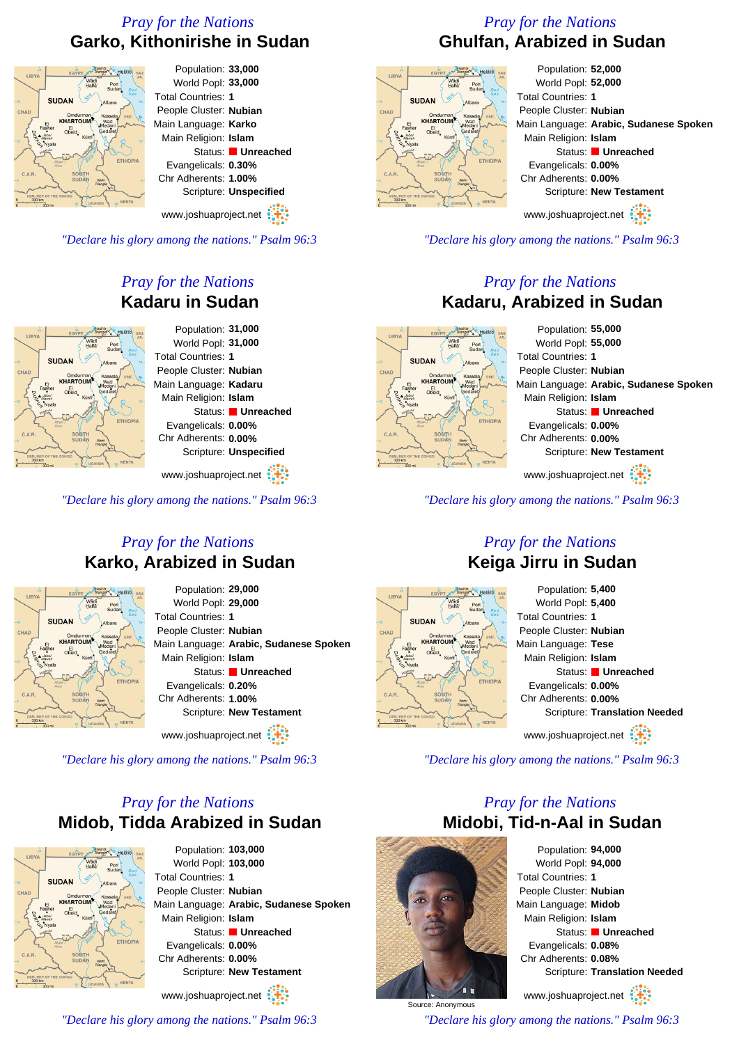### *Pray for the Nations* **Garko, Kithonirishe in Sudan**



Population: **33,000** World Popl: **33,000** Total Countries: **1** People Cluster: **Nubian** Main Language: **Karko** Main Religion: **Islam** Status: **Unreached** Evangelicals: **0.30%** Chr Adherents: **1.00%** Scripture: **Unspecified**

www.joshuaproject.net

*"Declare his glory among the nations." Psalm 96:3*

## *Pray for the Nations* **Kadaru in Sudan**



Population: **31,000** World Popl: **31,000** Total Countries: **1** People Cluster: **Nubian** Main Language: **Kadaru** Main Religion: **Islam** Status: **Unreached** Evangelicals: **0.00%** Chr Adherents: **0.00%** Scripture: **Unspecified**

www.joshuaproject.net

*"Declare his glory among the nations." Psalm 96:3*

#### *Pray for the Nations* **Karko, Arabized in Sudan**



Population: **29,000** World Popl: **29,000** Total Countries: **1** People Cluster: **Nubian** Main Language: **Arabic, Sudanese Spoken** Main Religion: **Islam** Status: **Unreached** Evangelicals: **0.20%** Chr Adherents: **1.00%** Scripture: **New Testament**

www.joshuaproject.net

*"Declare his glory among the nations." Psalm 96:3*

### *Pray for the Nations* **Midob, Tidda Arabized in Sudan**



Population: **103,000** World Popl: **103,000** Total Countries: **1** People Cluster: **Nubian** Main Language: **Arabic, Sudanese Spoken** Main Religion: **Islam** Status: **Unreached** Evangelicals: **0.00%** Chr Adherents: **0.00%** Scripture: **New Testament**

www.joshuaproject.net

*"Declare his glory among the nations." Psalm 96:3*

## *Pray for the Nations* **Ghulfan, Arabized in Sudan**



SUDAN

Population: **52,000** World Popl: **52,000** Total Countries: **1** People Cluster: **Nubian** Main Language: **Arabic, Sudanese Spoken** Main Religion: **Islam** Status: **Unreached** Evangelicals: **0.00%** Chr Adherents: **0.00%** Scripture: **New Testament**

www.joshuaproject.net

*"Declare his glory among the nations." Psalm 96:3*

#### *Pray for the Nations* **Kadaru, Arabized in Sudan**

Population: **55,000** World Popl: **55,000** Total Countries: **1** People Cluster: **Nubian** Main Language: **Arabic, Sudanese Spoken** Main Religion: **Islam** Status: **Unreached** Evangelicals: **0.00%** Chr Adherents: **0.00%** Scripture: **New Testament** www.joshuaproject.net

*"Declare his glory among the nations." Psalm 96:3*

#### *Pray for the Nations* **Keiga Jirru in Sudan**



www.joshuaproject.net

*"Declare his glory among the nations." Psalm 96:3*

#### *Pray for the Nations* **Midobi, Tid-n-Aal in Sudan**



Source: Anonymous

Population: **94,000** World Popl: **94,000** Total Countries: **1** People Cluster: **Nubian** Main Language: **Midob** Main Religion: **Islam** Status: **Unreached** Evangelicals: **0.08%** Chr Adherents: **0.08%** Scripture: **Translation Needed** www.joshuaproject.net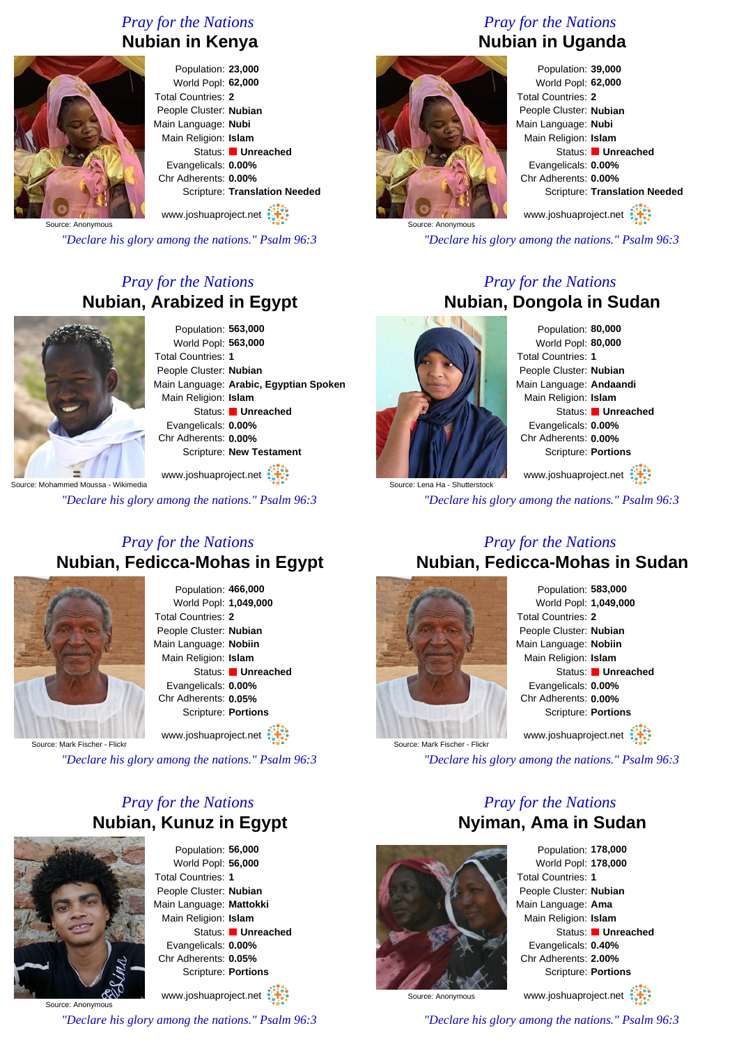### *Pray for the Nations* **Nubian in Kenya**



Population: **23,000** World Popl: **62,000** Total Countries: **2** People Cluster: **Nubian** Main Language: **Nubi** Main Religion: **Islam** Status: **Unreached** Evangelicals: **0.00%** Chr Adherents: **0.00%** Scripture: **Translation Needed**

www.joshuaproject.net

Source: Anonymous

*"Declare his glory among the nations." Psalm 96:3*

### *Pray for the Nations* **Nubian, Arabized in Egypt**



Population: **563,000** World Popl: **563,000** Total Countries: **1** People Cluster: **Nubian** Main Language: **Arabic, Egyptian Spoken** Main Religion: **Islam** Status: **Unreached** Evangelicals: **0.00%** Chr Adherents: **0.00%** Scripture: **New Testament**

www.joshuaproject.net

*"Declare his glory among the nations." Psalm 96:3*

#### *Pray for the Nations* **Nubian, Fedicca-Mohas in Egypt**



Population: **466,000** World Popl: **1,049,000** Total Countries: **2** People Cluster: **Nubian** Main Language: **Nobiin** Main Religion: **Islam** Status: **Unreached** Evangelicals: **0.00%** Chr Adherents: **0.05%** Scripture: **Portions**

www.joshuaproject.net

Source: Mark Fischer - Flickr

*"Declare his glory among the nations." Psalm 96:3*

### *Pray for the Nations* **Nubian, Kunuz in Egypt**



Population: **56,000** World Popl: **56,000** Total Countries: **1** People Cluster: **Nubian** Main Language: **Mattokki** Main Religion: **Islam** Status: **Unreached** Evangelicals: **0.00%** Chr Adherents: **0.05%** Scripture: **Portions** www.joshuaproject.net

Source: Anonymous

*"Declare his glory among the nations." Psalm 96:3*

# *Pray for the Nations* **Nubian in Uganda**



Population: **39,000** World Popl: **62,000** Total Countries: **2** People Cluster: **Nubian** Main Language: **Nubi** Main Religion: **Islam** Status: **Unreached** Evangelicals: **0.00%** Chr Adherents: **0.00%** Scripture: **Translation Needed** www.joshuaproject.net

*"Declare his glory among the nations." Psalm 96:3*

### *Pray for the Nations* **Nubian, Dongola in Sudan**



urce: Lena Ha - Shutterstock

Population: **80,000** World Popl: **80,000** Total Countries: **1** People Cluster: **Nubian** Main Language: **Andaandi** Main Religion: **Islam** Status: **Unreached** Evangelicals: **0.00%** Chr Adherents: **0.00%** Scripture: **Portions** www.joshuaproject.net

*"Declare his glory among the nations." Psalm 96:3*

#### *Pray for the Nations* **Nubian, Fedicca-Mohas in Sudan**



Population: **583,000** World Popl: **1,049,000** Total Countries: **2** People Cluster: **Nubian** Main Language: **Nobiin** Main Religion: **Islam** Status: **Unreached** Evangelicals: **0.00%** Chr Adherents: **0.00%** Scripture: **Portions** www.joshuaproject.net

*"Declare his glory among the nations." Psalm 96:3*

*Pray for the Nations*



Population: **178,000** World Popl: **178,000** Total Countries: **1** People Cluster: **Nubian** Main Language: **Ama** Main Religion: **Islam** Status: **Unreached** Evangelicals: **0.40%** Chr Adherents: **2.00%** Scripture: **Portions**

www.joshuaproject.net

Source: Anonymous